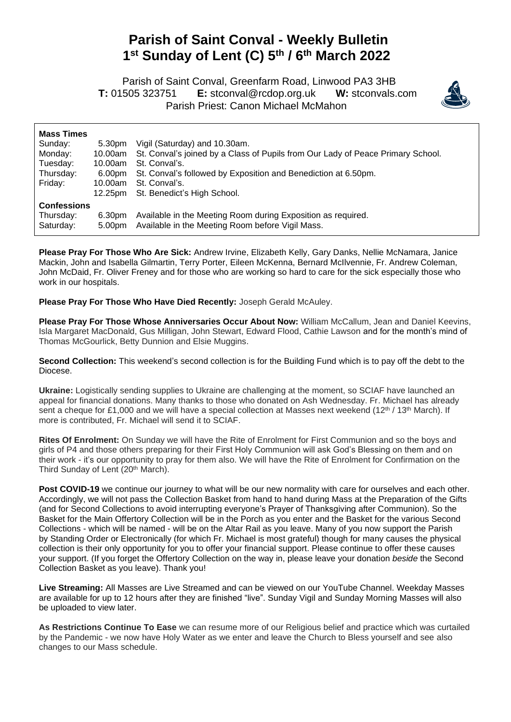## **Parish of Saint Conval - Weekly Bulletin 1 st Sunday of Lent (C) 5 th / 6th March 2022**

 Parish of Saint Conval, Greenfarm Road, Linwood PA3 3HB **T:** 01505 323751 **E:** [stconval@rcdop.org.uk](mailto:stconval@rcdop.org.uk) **W:** stconvals.com Parish Priest: Canon Michael McMahon



| <b>Mass Times</b>                            | 5.30pm           | Vigil (Saturday) and 10.30am.                                                                                    |
|----------------------------------------------|------------------|------------------------------------------------------------------------------------------------------------------|
| Sunday:                                      | 10.00am          | St. Conval's joined by a Class of Pupils from Our Lady of Peace Primary School.                                  |
| Monday:                                      | 10.00am          | St. Conval's.                                                                                                    |
| Tuesday:                                     | 6.00pm           | St. Conval's followed by Exposition and Benediction at 6.50pm.                                                   |
| Thursday:                                    | 10.00am          | St. Conval's.                                                                                                    |
| Friday:                                      | 12.25pm          | St. Benedict's High School.                                                                                      |
| <b>Confessions</b><br>Thursday:<br>Saturday: | 6.30pm<br>5.00pm | Available in the Meeting Room during Exposition as required.<br>Available in the Meeting Room before Vigil Mass. |

**Please Pray For Those Who Are Sick:** Andrew Irvine, Elizabeth Kelly, Gary Danks, Nellie McNamara, Janice Mackin, John and Isabella Gilmartin, Terry Porter, Eileen McKenna, Bernard McIlvennie, Fr. Andrew Coleman, John McDaid, Fr. Oliver Freney and for those who are working so hard to care for the sick especially those who work in our hospitals.

**Please Pray For Those Who Have Died Recently:** Joseph Gerald McAuley.

**Please Pray For Those Whose Anniversaries Occur About Now:** William McCallum, Jean and Daniel Keevins, Isla Margaret MacDonald, Gus Milligan, John Stewart, Edward Flood, Cathie Lawson and for the month's mind of Thomas McGourlick, Betty Dunnion and Elsie Muggins.

**Second Collection:** This weekend's second collection is for the Building Fund which is to pay off the debt to the Diocese.

**Ukraine:** Logistically sending supplies to Ukraine are challenging at the moment, so SCIAF have launched an appeal for financial donations. Many thanks to those who donated on Ash Wednesday. Fr. Michael has already sent a cheque for £1,000 and we will have a special collection at Masses next weekend (12<sup>th</sup> / 13<sup>th</sup> March). If more is contributed, Fr. Michael will send it to SCIAF.

**Rites Of Enrolment:** On Sunday we will have the Rite of Enrolment for First Communion and so the boys and girls of P4 and those others preparing for their First Holy Communion will ask God's Blessing on them and on their work - it's our opportunity to pray for them also. We will have the Rite of Enrolment for Confirmation on the Third Sunday of Lent (20<sup>th</sup> March).

**Post COVID-19** we continue our journey to what will be our new normality with care for ourselves and each other. Accordingly, we will not pass the Collection Basket from hand to hand during Mass at the Preparation of the Gifts (and for Second Collections to avoid interrupting everyone's Prayer of Thanksgiving after Communion). So the Basket for the Main Offertory Collection will be in the Porch as you enter and the Basket for the various Second Collections - which will be named - will be on the Altar Rail as you leave. Many of you now support the Parish by Standing Order or Electronically (for which Fr. Michael is most grateful) though for many causes the physical collection is their only opportunity for you to offer your financial support. Please continue to offer these causes your support. (If you forget the Offertory Collection on the way in, please leave your donation *beside* the Second Collection Basket as you leave). Thank you!

**Live Streaming:** All Masses are Live Streamed and can be viewed on our YouTube Channel. Weekday Masses are available for up to 12 hours after they are finished "live". Sunday Vigil and Sunday Morning Masses will also be uploaded to view later.

**As Restrictions Continue To Ease** we can resume more of our Religious belief and practice which was curtailed by the Pandemic - we now have Holy Water as we enter and leave the Church to Bless yourself and see also changes to our Mass schedule.